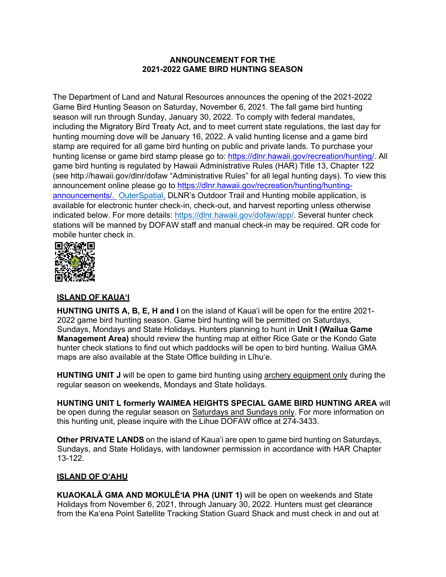## **ANNOUNCEMENT FOR THE 2021-2022 GAME BIRD HUNTING SEASON**

The Department of Land and Natural Resources announces the opening of the 2021-2022 Game Bird Hunting Season on Saturday, November 6, 2021. The fall game bird hunting season will run through Sunday, January 30, 2022. To comply with federal mandates, including the Migratory Bird Treaty Act, and to meet current state regulations, the last day for hunting mourning dove will be January 16, 2022. A valid hunting license and a game bird stamp are required for all game bird hunting on public and private lands. To purchase your hunting license or game bird stamp please go to: https://dlnr.hawaii.gov/recreation/hunting/. All game bird hunting is regulated by Hawaii Administrative Rules (HAR) Title 13, Chapter 122 (see http://hawaii.gov/dlnr/dofaw "Administrative Rules" for all legal hunting days). To view this announcement online please go to https://dlnr.hawaii.gov/recreation/hunting/huntingannouncements/. OuterSpatial, DLNR's Outdoor Trail and Hunting mobile application, is available for electronic hunter check-in, check-out, and harvest reporting unless otherwise indicated below. For more details: https://dlnr.hawaii.gov/dofaw/app/. Several hunter check stations will be manned by DOFAW staff and manual check-in may be required. QR code for mobile hunter check in.



## **ISLAND OF KAUAʻI**

**HUNTING UNITS A, B, E, H and I** on the island of Kaua'i will be open for the entire 2021-2022 game bird hunting season. Game bird hunting will be permitted on Saturdays, Sundays, Mondays and State Holidays. Hunters planning to hunt in **Unit I (Wailua Game Management Area)** should review the hunting map at either Rice Gate or the Kondo Gate hunter check stations to find out which paddocks will be open to bird hunting. Wailua GMA maps are also available at the State Office building in Līhuʻe.

**HUNTING UNIT J** will be open to game bird hunting using archery equipment only during the regular season on weekends, Mondays and State holidays.

**HUNTING UNIT L formerly WAIMEA HEIGHTS SPECIAL GAME BIRD HUNTING AREA** will be open during the regular season on Saturdays and Sundays only. For more information on this hunting unit, please inquire with the Lihue DOFAW office at 274-3433.

**Other PRIVATE LANDS** on the island of Kauaʻi are open to game bird hunting on Saturdays, Sundays, and State Holidays, with landowner permission in accordance with HAR Chapter 13-122.

## **ISLAND OF OʻAHU**

**KUAOKALĀ GMA AND MOKULĒʻIA PHA (UNIT 1)** will be open on weekends and State Holidays from November 6, 2021, through January 30, 2022. Hunters must get clearance from the Kaʻena Point Satellite Tracking Station Guard Shack and must check in and out at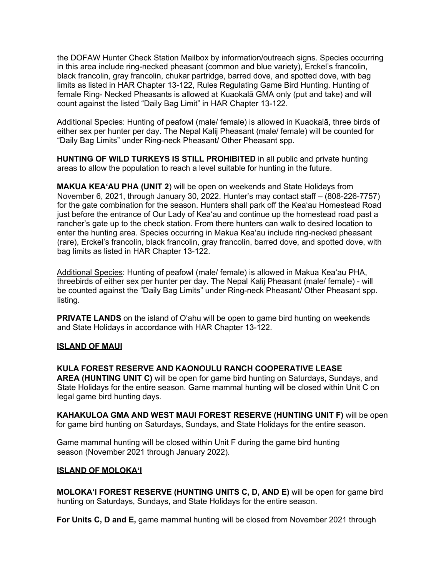the DOFAW Hunter Check Station Mailbox by information/outreach signs. Species occurring in this area include ring-necked pheasant (common and blue variety), Erckel's francolin, black francolin, gray francolin, chukar partridge, barred dove, and spotted dove, with bag limits as listed in HAR Chapter 13-122, Rules Regulating Game Bird Hunting. Hunting of female Ring- Necked Pheasants is allowed at Kuaokalā GMA only (put and take) and will count against the listed "Daily Bag Limit" in HAR Chapter 13-122.

Additional Species: Hunting of peafowl (male/ female) is allowed in Kuaokalā, three birds of either sex per hunter per day. The Nepal Kalij Pheasant (male/ female) will be counted for "Daily Bag Limits" under Ring-neck Pheasant/ Other Pheasant spp.

**HUNTING OF WILD TURKEYS IS STILL PROHIBITED** in all public and private hunting areas to allow the population to reach a level suitable for hunting in the future.

**MAKUA KEAʻAU PHA (UNIT 2**) will be open on weekends and State Holidays from November 6, 2021, through January 30, 2022. Hunter's may contact staff – (808-226-7757) for the gate combination for the season. Hunters shall park off the Keaʻau Homestead Road just before the entrance of Our Lady of Keaʻau and continue up the homestead road past a rancher's gate up to the check station. From there hunters can walk to desired location to enter the hunting area. Species occurring in Makua Keaʻau include ring-necked pheasant (rare), Erckel's francolin, black francolin, gray francolin, barred dove, and spotted dove, with bag limits as listed in HAR Chapter 13-122.

Additional Species: Hunting of peafowl (male/ female) is allowed in Makua Keaʻau PHA, threebirds of either sex per hunter per day. The Nepal Kalij Pheasant (male/ female) - will be counted against the "Daily Bag Limits" under Ring-neck Pheasant/ Other Pheasant spp. listing.

**PRIVATE LANDS** on the island of O'ahu will be open to game bird hunting on weekends and State Holidays in accordance with HAR Chapter 13-122.

#### **ISLAND OF MAUI**

**KULA FOREST RESERVE AND KAONOULU RANCH COOPERATIVE LEASE AREA (HUNTING UNIT C)** will be open for game bird hunting on Saturdays, Sundays, and State Holidays for the entire season. Game mammal hunting will be closed within Unit C on legal game bird hunting days.

**KAHAKULOA GMA AND WEST MAUI FOREST RESERVE (HUNTING UNIT F)** will be open for game bird hunting on Saturdays, Sundays, and State Holidays for the entire season.

Game mammal hunting will be closed within Unit F during the game bird hunting season (November 2021 through January 2022).

## **ISLAND OF MOLOKAʻI**

**MOLOKAʻI FOREST RESERVE (HUNTING UNITS C, D, AND E)** will be open for game bird hunting on Saturdays, Sundays, and State Holidays for the entire season.

**For Units C, D and E,** game mammal hunting will be closed from November 2021 through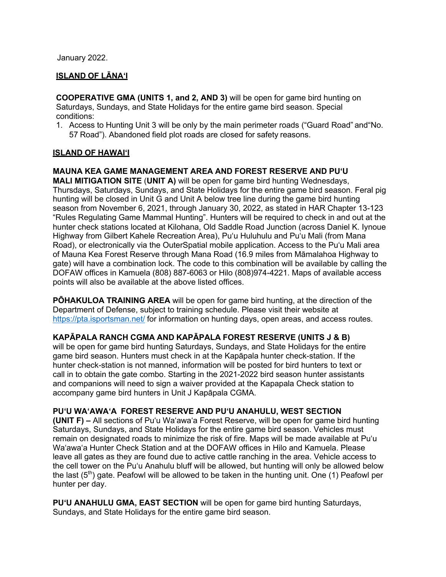January 2022.

# **ISLAND OF LĀNAʻI**

**COOPERATIVE GMA (UNITS 1, and 2, AND 3)** will be open for game bird hunting on Saturdays, Sundays, and State Holidays for the entire game bird season. Special conditions:

1. Access to Hunting Unit 3 will be only by the main perimeter roads ("Guard Road" and"No. 57 Road"). Abandoned field plot roads are closed for safety reasons.

# **ISLAND OF HAWAIʻI**

# **MAUNA KEA GAME MANAGEMENT AREA AND FOREST RESERVE AND PUʻU**

**MALI MITIGATION SITE** (**UNIT A)** will be open for game bird hunting Wednesdays, Thursdays, Saturdays, Sundays, and State Holidays for the entire game bird season. Feral pig hunting will be closed in Unit G and Unit A below tree line during the game bird hunting season from November 6, 2021, through January 30, 2022, as stated in HAR Chapter 13-123 "Rules Regulating Game Mammal Hunting". Hunters will be required to check in and out at the hunter check stations located at Kilohana, Old Saddle Road Junction (across Daniel K. Iynoue Highway from Gilbert Kahele Recreation Area), Puʻu Huluhulu and Puʻu Mali (from Mana Road), or electronically via the OuterSpatial mobile application. Access to the Puʻu Mali area of Mauna Kea Forest Reserve through Mana Road (16.9 miles from Māmalahoa Highway to gate) will have a combination lock. The code to this combination will be available by calling the DOFAW offices in Kamuela (808) 887-6063 or Hilo (808)974-4221. Maps of available access points will also be available at the above listed offices.

**PŌHAKULOA TRAINING AREA** will be open for game bird hunting, at the direction of the Department of Defense, subject to training schedule. Please visit their website at https://pta.isportsman.net/ for information on hunting days, open areas, and access routes.

# **KAPĀPALA RANCH CGMA AND KAPĀPALA FOREST RESERVE (UNITS J & B)**

will be open for game bird hunting Saturdays, Sundays, and State Holidays for the entire game bird season. Hunters must check in at the Kapāpala hunter check-station. If the hunter check-station is not manned, information will be posted for bird hunters to text or call in to obtain the gate combo. Starting in the 2021-2022 bird season hunter assistants and companions will need to sign a waiver provided at the Kapapala Check station to accompany game bird hunters in Unit J Kapāpala CGMA.

# **PUʻU WAʻAWAʻA FOREST RESERVE AND PUʻU ANAHULU, WEST SECTION**

**(UNIT F) –** All sections of Puʻu Waʻawaʻa Forest Reserve, will be open for game bird hunting Saturdays, Sundays, and State Holidays for the entire game bird season. Vehicles must remain on designated roads to minimize the risk of fire. Maps will be made available at Puʻu Waʻawaʻa Hunter Check Station and at the DOFAW offices in Hilo and Kamuela. Please leave all gates as they are found due to active cattle ranching in the area. Vehicle access to the cell tower on the Puʻu Anahulu bluff will be allowed, but hunting will only be allowed below the last  $(5<sup>th</sup>)$  gate. Peafowl will be allowed to be taken in the hunting unit. One (1) Peafowl per hunter per day.

**PU'U ANAHULU GMA, EAST SECTION** will be open for game bird hunting Saturdays, Sundays, and State Holidays for the entire game bird season.